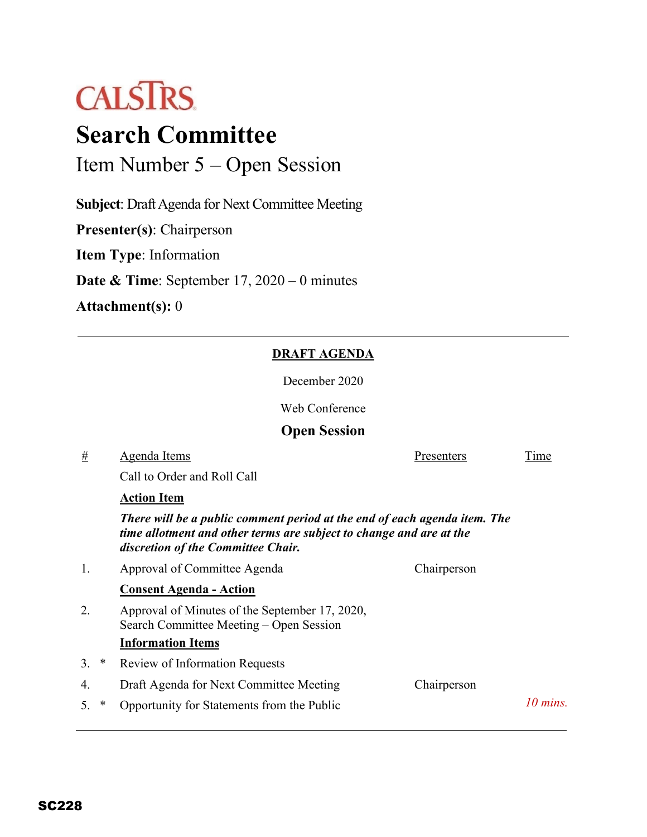

# **Search Committee**

Item Number 5 – Open Session

**Subject**: Draft Agenda for Next Committee Meeting

**Presenter(s)**: Chairperson

**Item Type**: Information

**Date & Time**: September 17, 2020 – 0 minutes

**Attachment(s):** 0

#### **DRAFT AGENDA**

December 2020

Web Conference

### **Open Session**

## # Agenda Items Presenters Time Call to Order and Roll Call **Action Item** *There will be a public comment period at the end of each agenda item. The time allotment and other terms are subject to change and are at the discretion of the Committee Chair.* 1. Approval of Committee Agenda Chairperson **Consent Agenda - Action** 2. Approval of Minutes of the September 17, 2020, Search Committee Meeting – Open Session **Information Items** 3. \* Review of Information Requests 4. Draft Agenda for Next Committee Meeting Chairperson 5. \* Opportunity for Statements from the Public *10 mins.*